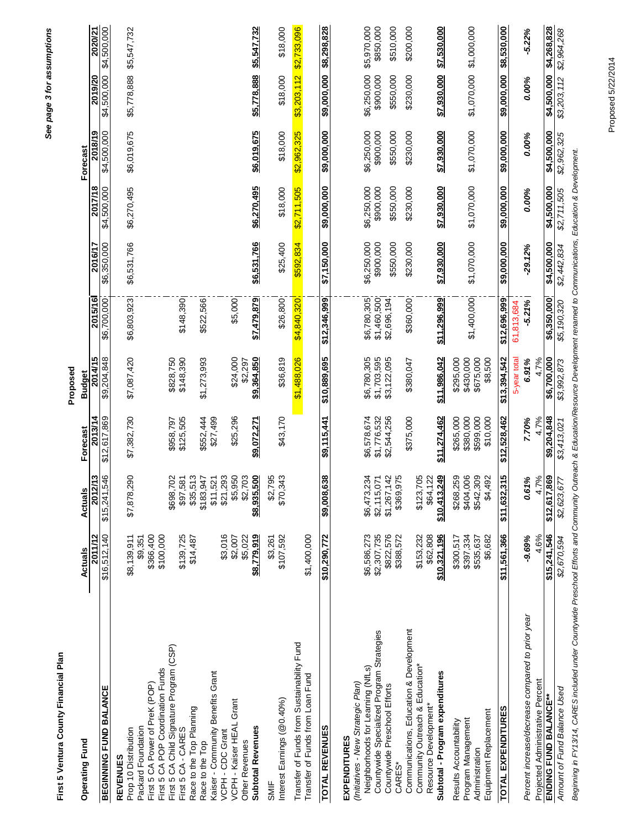| First 5 Ventura County Financial Plan                                                |                          |                                        |                         | Proposed                   |                        |                        |                        |                        |                          |                        |
|--------------------------------------------------------------------------------------|--------------------------|----------------------------------------|-------------------------|----------------------------|------------------------|------------------------|------------------------|------------------------|--------------------------|------------------------|
| <b>Operating Fund</b>                                                                | Actuals                  | Actuals                                | Forecast                | <b>Budget</b>              |                        |                        |                        | Forecast               |                          |                        |
| BEGINNING FUND BALANCE                                                               | 2011/12<br>\$16,512,140  | 2012/13<br>546<br>\$15,241,            | 2013/14<br>\$12,617,869 | 2014/15<br>\$9,204,848     | 2015/16<br>\$6,700,000 | \$6,350,000<br>2016/17 | 2017/18<br>\$4,500,000 | 2018/19<br>\$4,500,000 | \$4,500,000<br>2019/20   | \$4,500,000<br>2020/21 |
|                                                                                      |                          |                                        |                         |                            |                        |                        |                        |                        |                          |                        |
| <b>REVENUES</b>                                                                      | \$8,139,911              | 290                                    |                         |                            | \$6,803,923            |                        |                        |                        |                          |                        |
| Packard Foundation<br>Prop 10 Distribution                                           | \$9,351                  | \$7,878                                | \$7,382,730             | \$7,087,420                |                        | \$6,531,766            | \$6,270,495            | \$6,019,675            | \$5,778,888              | \$5,547,732            |
| First 5 CA Power of PreK (POP)                                                       | \$366,400                |                                        |                         |                            |                        |                        |                        |                        |                          |                        |
| First 5 CA POP Coordination Funds                                                    | \$100,000                |                                        |                         |                            |                        |                        |                        |                        |                          |                        |
| First 5 CA Child Signature Program (CSP)                                             |                          | 702<br>\$698,                          | \$958,797               | \$828,750                  |                        |                        |                        |                        |                          |                        |
| First 5 CA - CARES                                                                   | \$139,725                | 581<br>\$97                            | \$125,505               | \$148,390                  | \$148,390              |                        |                        |                        |                          |                        |
| Race to the Top Planning                                                             | \$14,487                 | 513<br>\$35.                           |                         |                            |                        |                        |                        |                        |                          |                        |
| Race to the Top                                                                      |                          | 947<br>\$183,                          | \$552,444<br>\$27,499   | \$1,273,993                | \$522,566              |                        |                        |                        |                          |                        |
| Kaiser - Community Benefits Grant                                                    |                          | 521<br>\$11,                           |                         |                            |                        |                        |                        |                        |                          |                        |
| VCPH - Kaiser HEAL Grant<br>VCPH - CDC Grant                                         | \$3,016<br>\$2,007       | \$5,950<br>\$21,293                    | \$25,296                | \$24,000                   | \$5,000                |                        |                        |                        |                          |                        |
| Other Revenues                                                                       | \$5,022                  | \$2,703                                |                         | \$2,297                    |                        |                        |                        |                        |                          |                        |
| <b>Subtotal Revenues</b>                                                             | \$8,779,919              | \$8,935,500                            | \$9,072,271             | \$9,364,850                | \$7,479,879            | \$6,531,766            | \$6,270,495            | \$6,019,675            | \$5,778,888              | \$5,547,732            |
| Interest Earnings (@0.40%)<br>SMIF                                                   | \$107,592<br>\$3,261     | \$2,795<br>343<br>\$70.                | \$43,170                | \$36,819                   | \$26,800               | \$25,400               | \$18,000               | \$18,000               | \$18,000                 | \$18,000               |
| Transfer of Funds from Sustainability Fund                                           |                          |                                        |                         | \$1,488,026                | \$4,840,320            | \$592,834              | \$2,711,505            | \$2,962,325            | \$3,203,112              | \$2,733,096            |
| Transfer of Funds from Loan Fund                                                     | \$1,400,000              |                                        |                         |                            |                        |                        |                        |                        |                          |                        |
| <b>TOTAL REVENUES</b>                                                                | \$10,290,772             | 638<br>\$9,008                         | \$9,115,441             | \$10,889,695               | \$12,346,999           | \$7,150,000            | \$9,000,000            | \$9,000,000            | \$9,000,000              | \$8,298,828            |
| (Initiatives - New Strategic Plan)<br><b>EXPENDITURES</b>                            |                          |                                        |                         |                            |                        |                        |                        |                        |                          |                        |
| Neighborhoods for Learning (NfLs)                                                    | \$6,586,273              | 234<br>\$6,473,                        | \$6,578,674             | \$6,780,305                | \$6,780,305            | \$6,250,000            | \$6,250,000            | \$6,250,000            |                          | \$5,970,000            |
| Countywide Specialized Program Strategies                                            | \$2,307,735              | \$2,115,071                            | \$1,776,532             | \$1,703,595<br>\$3,122,095 | \$1,460,500            | \$900,000              | \$900,000              | \$900,000              | \$6,250,000<br>\$900,000 | \$850,000              |
| Countywide Preschool Efforts<br>CARES*                                               | \$822,576<br>\$388,572   | 142<br>975<br>\$1,267,<br>\$369,       | \$2,544,256             |                            | \$2,696,194            | \$550,000              | \$550,000              | \$550,000              | \$550,000                | \$510,000              |
| Communications, Education & Development                                              |                          |                                        | \$375,000               | \$380,047                  | \$360,000              | \$230,000              | \$230,000              | \$230,000              | \$230,000                | \$200,000              |
| Community Outreach & Education*                                                      | \$153,232                | \$123,705                              |                         |                            |                        |                        |                        |                        |                          |                        |
| Subtotal - Program expenditures<br>Resource Development*                             | \$10,321,196<br>\$62,808 | \$10,413,249<br>\$64,122               | \$11,274,462            | \$11,986,042               | \$11,296,999           | \$7,930,000            | \$7,930,000            | \$7,930,000            | \$7,930,000              | \$7,530,000            |
| Results Accountability                                                               | \$300,517                | \$268,259                              | \$265,000               | \$295,000                  |                        |                        |                        |                        |                          |                        |
| Program Management                                                                   | \$397,334                | \$404,006                              | \$380,000               | \$430,000<br>\$675,000     | \$1,400,000            | \$1,070,000            | \$1,070,000            | \$1,070,000            | \$1,070,000              | \$1,000,000            |
| Equipment Replacement<br>Administration                                              | \$535,637<br>\$6,682     | 309<br>492<br>\$542,<br>$\mathfrak{A}$ | \$599,000<br>\$10,000   | \$8,500                    |                        |                        |                        |                        |                          |                        |
| <b>TOTAL EXPENDITURES</b>                                                            | \$11,561,366             | 315<br>\$11,632,                       | \$12,528,462            | \$13,394,542               | \$12,696,999           | \$9,000,000            | \$9,000,000            | \$9,000,000            | \$9,000,000              | \$8,530,000            |
|                                                                                      |                          |                                        |                         | 5-year total               | 61,813,684             |                        |                        |                        |                          |                        |
| Percent increase/decrease compared to prior year<br>Projected Administrative Percent | 4.6%<br>$-9.69%$         | 4.7%<br>0.61%                          | 4.7%<br>7.70%           | 4.7%<br>6.91%              | $-5.21%$               | $-29.12%$              | 0.00%                  | 0.00%                  | 0.00%                    | $-5.22%$               |
| ENDING FUND BALANCE**                                                                | \$15,241,546             | \$12,617,869                           | \$9,204,848             | \$6,700,000                | \$6,350,000            | \$4,500,000            | \$4,500,000            | \$4,500,000            | \$4,500,000              | \$4,268,828            |
| Amount of Fund Balance Used                                                          | \$2,670,594              | \$2,623,677                            | \$3,413,021             | \$3,992,873                | \$5,190,320            | \$2,442,834            | \$2,711,505            | \$2,962,325            | \$3,203,112              | \$2,964,268            |
|                                                                                      |                          |                                        |                         |                            |                        |                        |                        |                        |                          |                        |

Beginning in FY13/14, CARES included under Countywide Preschool Efforts and Community Outreach & Education/Resource Development renamed to Communications, Education & Development. *Beginning in FY13/14, CARES included under Countywide Preschool Efforts and Community Outreach & Education/Resource Development renamed to Communications, Education & Development.*

First 5 Ventura County Financial Plan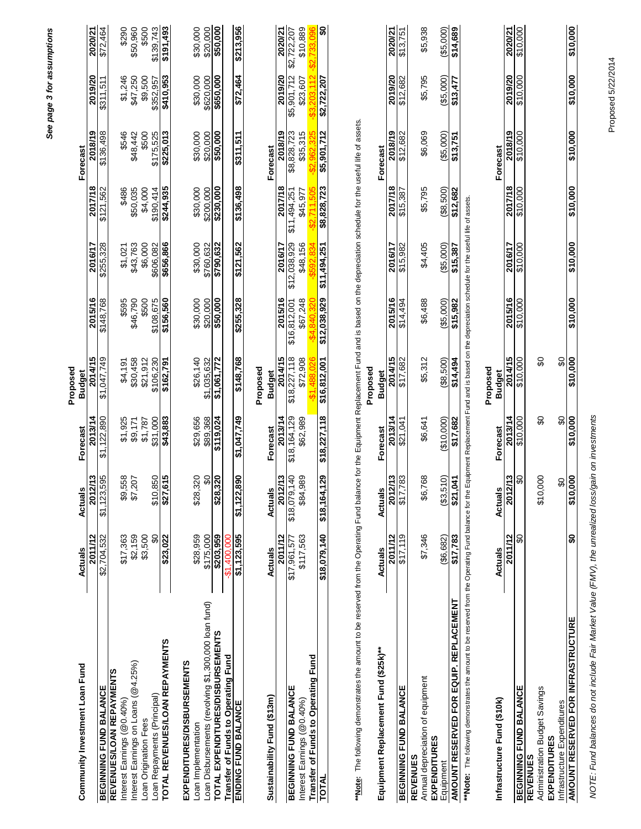|                                                                                                                                                                                                           |               |                                         |                    |                           |                      |              |                       |                      | See page 3 for assumptions |                      |
|-----------------------------------------------------------------------------------------------------------------------------------------------------------------------------------------------------------|---------------|-----------------------------------------|--------------------|---------------------------|----------------------|--------------|-----------------------|----------------------|----------------------------|----------------------|
|                                                                                                                                                                                                           |               |                                         |                    | Proposed                  |                      |              |                       |                      |                            |                      |
| Community Investment Loan Fund                                                                                                                                                                            | Actuals       | Actuals                                 | Forecast           | <b>Budget</b>             |                      |              |                       | Forecast             |                            |                      |
|                                                                                                                                                                                                           | 2011/12       | 2012/13                                 | 2013/14            | 2014/15                   | 2015/16              | 2016/17      | 2017/18               | 2018/19              | 2019/20                    | 2020/21              |
| BEGINNING FUND BALANCE                                                                                                                                                                                    | \$2,704,532   | \$1,123,595                             | \$1,122,890        | 81,047,749                | \$148,768            | \$255,328    | \$121,562             | \$136,498            | \$311,511                  | \$72,464             |
| REVENUES/LOAN REPAYMENTS                                                                                                                                                                                  |               |                                         |                    |                           |                      |              |                       |                      |                            |                      |
| Interest Earnings (@0.40%)                                                                                                                                                                                | \$17,363      | \$9,558<br>\$7,207                      | \$1,925<br>\$9,171 | \$4,191                   | \$595                | \$1,021      | \$486                 | \$546                | \$1,246<br>\$47,250        | \$290                |
| Interest Earnings on Loans (@4.25%)                                                                                                                                                                       | \$2,159       |                                         |                    | \$30,458                  | \$46,790             | \$43,763     | \$50,035              | \$48,442             |                            | \$50,960             |
| Loan Origination Fees                                                                                                                                                                                     | \$3,500       |                                         | \$1,787            | \$21,912                  | \$500                | \$6,000      | \$4,000               | \$500                | \$9,500                    | \$500                |
| Loan Repayments (Principal)                                                                                                                                                                               | ₷             | $\frac{$10,850}{$27,615}$               | \$31,000           | \$106,230                 | \$108,675            | \$606,082    | \$190,414             | \$175,525            | \$352,957                  | \$139,743            |
| TOTAL REVENUES/LOAN REPAYMENTS                                                                                                                                                                            | \$23,022      |                                         | \$43,883           | \$162,791                 | \$156,560            | \$656,866    | \$244,935             | \$225,013            | \$410,953                  | \$191,493            |
| EXPENDITURES/DISBURSEMENTS                                                                                                                                                                                |               |                                         |                    |                           |                      |              |                       |                      |                            |                      |
| Loan Implementation                                                                                                                                                                                       | \$28,959      | \$28,320                                | \$29,656           | \$26,140                  |                      | \$30,000     |                       |                      |                            |                      |
| Loan Disbursements (revolving \$1,300,000 loan fund)                                                                                                                                                      | \$175,000     | $\boldsymbol{\mathsf{S}}$               | \$89,368           | \$1,035,632               | \$30,000<br>\$20,000 | \$760,632    | \$30,000<br>\$200,000 | \$30,000<br>\$20,000 | \$30,000<br>\$620,000      | \$30,000<br>\$20,000 |
| TOTAL EXPENDITURES/DISBURSEMENTS                                                                                                                                                                          | \$203,959     | \$28,320                                | \$119,024          | $\sqrt{61,772}$           | \$50,000             | \$790,632    | \$230,000             | \$50,000             | \$650,000                  | \$50,000             |
| Transfer of Funds to Operating Fund                                                                                                                                                                       | $-$1,400,000$ |                                         |                    |                           |                      |              |                       |                      |                            |                      |
| ENDING FUND BALANCE                                                                                                                                                                                       | \$1,123,595   | \$1,122,890                             | 81,047,749         | \$148,768                 | \$255,328            | \$121,562    | \$136,498             | \$311,511            | \$72,464                   | \$213,956            |
|                                                                                                                                                                                                           |               |                                         |                    | Proposed                  |                      |              |                       |                      |                            |                      |
| Sustainability Fund (\$13m)                                                                                                                                                                               | Actuals       | <b>Actuals</b>                          | Forecast           | <b>Budget</b>             |                      |              |                       | Forecast             |                            |                      |
|                                                                                                                                                                                                           |               |                                         |                    |                           |                      |              |                       |                      |                            |                      |
|                                                                                                                                                                                                           | 2011/12       | 2012/13                                 | 2013/14            | 2014/15                   | 2015/16              | 2016/17      | 2017/18               | 2018/19              | 2019/20                    | 2020/21              |
| <b>BEGINNING FUND BALANCE</b>                                                                                                                                                                             | \$17,961,577  | $\overline{9}$<br>\$18,079,1            | \$18,164,129       | \$18,227,118              | \$16,812,001         | \$12,038,929 | \$11,494,251          | \$8,828,723          | \$5,901,712                | \$2,722,207          |
| Interest Earnings (@0.40%)                                                                                                                                                                                | \$117,563     | \$84,989                                | \$62,989           | \$72,908                  | \$67,248             | \$48,156     | \$45,977              | \$35,315             | \$23,607                   | \$10,889             |
| <b>Transfer of Funds to Operating Fund<br/>TOTAL</b>                                                                                                                                                      |               |                                         |                    |                           |                      |              |                       |                      |                            |                      |
|                                                                                                                                                                                                           | \$18,079,140  | $\boldsymbol{\mathsf{S}}$<br>\$18,164,1 | \$18,227,118       | \$16,812,001              | \$12,038,929         | \$11,494,251 | \$8,828,723           | \$5,901,712          | \$2,722,207                | S                    |
| **Note: The following demonstrates the amount to be reserved from the Operating Fund balance for the Equipment Replacement Fund and is based on the depreciation schedule for the useful life of assets.  |               |                                         |                    |                           |                      |              |                       |                      |                            |                      |
|                                                                                                                                                                                                           |               |                                         |                    | Proposed                  |                      |              |                       |                      |                            |                      |
| Equipment Replacement Fund (\$25k)**                                                                                                                                                                      | Actuals       | <b>Actuals</b>                          | Forecast           | <b>Budget</b>             |                      |              |                       | Forecast             |                            |                      |
|                                                                                                                                                                                                           | 2011/12       | 2012/13                                 | 2013/14            | 2014/15                   | 2015/16              | 2016/17      | 2017/18               | 2018/19              | 2019/20                    | 2020/21              |
| <b>BEGINNING FUND BALANCE</b>                                                                                                                                                                             | \$17,119      | g3<br>7.77                              | \$21,041           | \$17,682                  | \$14,494             | \$15,982     | \$15,387              | \$12,682             | \$12,682                   | \$13,751             |
| Annual depreciation of equipment<br><b>REVENUES</b>                                                                                                                                                       | \$7,346       | \$6,768                                 | \$6,641            | \$5,312                   | \$6,488              | \$4,405      | \$5,795               | \$6,069              | \$5,795                    | \$5,938              |
| <b>EXPENDITURES</b>                                                                                                                                                                                       |               |                                         |                    |                           |                      |              |                       |                      |                            |                      |
| Equipment                                                                                                                                                                                                 | ( \$6,682)    | (33,510)                                | (\$10,000)         | ( \$8,500)                | ( \$5,000)           | ( \$5,000)   | ( \$8, 500)           | ( \$5,000)           | ( \$5,000)                 | ( \$5,000]           |
| AMOUNT RESERVED FOR EQUIP. REPLACEMENT                                                                                                                                                                    | \$17,783      | \$21,041                                | \$17,682           | \$14,494                  | \$15,982             | \$15,387     | \$12,682              | \$13,751             | \$13,477                   | \$14,689             |
| ** Note: The following demonstrates the amount to be reserved from the Operating Fund balance for the Equipment Replacement Fund and is based on the depreciation schedule for the useful life of assets. |               |                                         |                    |                           |                      |              |                       |                      |                            |                      |
| Infrastructure Fund (\$10k)                                                                                                                                                                               | Actuals       | <b>Actuals</b>                          | Forecast           | Proposed<br><b>Budget</b> |                      |              |                       | Forecast             |                            |                      |
|                                                                                                                                                                                                           | 2011/12       | 2012/13                                 | 2013/14            | 2014/15                   | 2015/16              | 2016/17      | 2017/18               | 2018/19              | 2019/20                    | 2020/21              |
| <b>BEGINNING FUND BALANCE</b>                                                                                                                                                                             | င္တ           | <b>Q</b>                                | \$10,000           | \$10,000                  | \$10,000             | \$10,000     | \$10,000              | \$10,000             | \$10,000                   | \$10,000             |
| <b>REVENUES</b>                                                                                                                                                                                           |               |                                         |                    |                           |                      |              |                       |                      |                            |                      |
| Administration Budget Savings<br><b>EXPENDITURES</b>                                                                                                                                                      |               | \$10,000                                | င္တ                | S                         |                      |              |                       |                      |                            |                      |
| Infrastructure Expenditures                                                                                                                                                                               |               | င္တ                                     | \$O                | $\boldsymbol{\mathsf{S}}$ |                      |              |                       |                      |                            |                      |
| <b>AMOUNT RESERVED FOR INFRASTRUCTURE</b>                                                                                                                                                                 | $\frac{6}{3}$ | 610,000                                 | \$10,000           | \$10,000                  | \$10,000             | \$10,000     | \$10,000              | \$10,000             | \$10,000                   | \$10,000             |
|                                                                                                                                                                                                           |               |                                         |                    |                           |                      |              |                       |                      |                            |                      |

NOTE: Fund balances do not include Fair Market Value (FMV), the unrealized loss/gain on investments *NOTE: Fund balances do not include Fair Market Value (FMV), the unrealized loss/gain on investments*

Proposed 5/22/2014 Proposed 5/22/2014